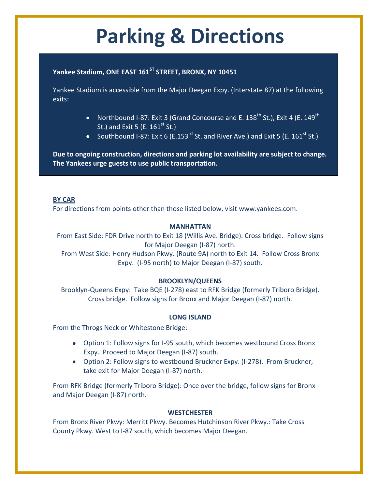# **Parking & Directions**

### **Yankee Stadium, ONE EAST 161ST STREET, BRONX, NY 10451**

Yankee Stadium is accessible from the Major Deegan Expy. (Interstate 87) at the following exits:

- Northbound I-87: Exit 3 (Grand Concourse and E. 138<sup>th</sup> St.), Exit 4 (E. 149<sup>th</sup> St.) and Exit 5 (E.  $161^{\text{st}}$  St.)
- Southbound I-87: Exit 6 (E.153<sup>rd</sup> St. and River Ave.) and Exit 5 (E. 161<sup>st</sup> St.)

**Due to ongoing construction, directions and parking lot availability are subject to change. The Yankees urge guests to use public transportation.**

#### **BY CAR**

For directions from points other than those listed below, visit [www.yankees.com.](http://www.yankees.com/)

#### **MANHATTAN**

From East Side: FDR Drive north to Exit 18 (Willis Ave. Bridge). Cross bridge. Follow signs for Major Deegan (I-87) north.

From West Side: Henry Hudson Pkwy. (Route 9A) north to Exit 14. Follow Cross Bronx Expy. (I-95 north) to Major Deegan (I-87) south.

#### **BROOKLYN/QUEENS**

Brooklyn-Queens Expy: Take BQE (I-278) east to RFK Bridge (formerly Triboro Bridge). Cross bridge. Follow signs for Bronx and Major Deegan (I-87) north.

#### **LONG ISLAND**

From the Throgs Neck or Whitestone Bridge:

- Option 1: Follow signs for I-95 south, which becomes westbound Cross Bronx Expy. Proceed to Major Deegan (I-87) south.
- Option 2: Follow signs to westbound Bruckner Expy. (I-278). From Bruckner, take exit for Major Deegan (I-87) north.

From RFK Bridge (formerly Triboro Bridge): Once over the bridge, follow signs for Bronx and Major Deegan (I-87) north.

#### **WESTCHESTER**

From Bronx River Pkwy: Merritt Pkwy. Becomes Hutchinson River Pkwy.: Take Cross County Pkwy. West to I-87 south, which becomes Major Deegan.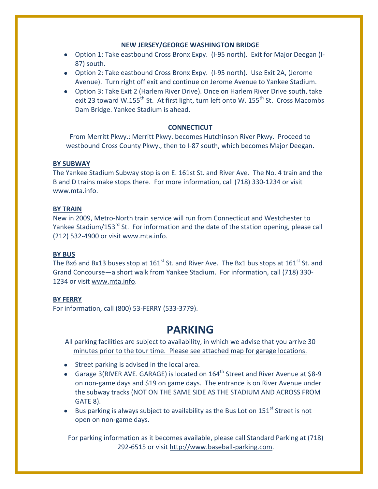#### **NEW JERSEY/GEORGE WASHINGTON BRIDGE**

- Option 1: Take eastbound Cross Bronx Expy. (I-95 north). Exit for Major Deegan (I-87) south.
- Option 2: Take eastbound Cross Bronx Expy. (I-95 north). Use Exit 2A, (Jerome Avenue). Turn right off exit and continue on Jerome Avenue to Yankee Stadium.
- Option 3: Take Exit 2 (Harlem River Drive). Once on Harlem River Drive south, take exit 23 toward W.155<sup>th</sup> St. At first light, turn left onto W. 155<sup>th</sup> St. Cross Macombs Dam Bridge. Yankee Stadium is ahead.

#### **CONNECTICUT**

From Merritt Pkwy.: Merritt Pkwy. becomes Hutchinson River Pkwy. Proceed to westbound Cross County Pkwy., then to I-87 south, which becomes Major Deegan.

#### **BY SUBWAY**

The Yankee Stadium Subway stop is on E. 161st St. and River Ave. The No. 4 train and the B and D trains make stops there. For more information, call (718) 330-1234 or visit www.mta.info.

#### **BY TRAIN**

New in 2009, Metro-North train service will run from Connecticut and Westchester to Yankee Stadium/153<sup>rd</sup> St. For information and the date of the station opening, please call (212) 532-4900 or visit www.mta.info.

#### **BY BUS**

The Bx6 and Bx13 buses stop at  $161<sup>st</sup>$  St. and River Ave. The Bx1 bus stops at  $161<sup>st</sup>$  St. and Grand Concourse—a short walk from Yankee Stadium. For information, call (718) 330- 1234 or visit [www.mta.info.](http://www.mta.info/)

#### **BY FERRY**

For information, call (800) 53-FERRY (533-3779).

## **PARKING**

All parking facilities are subject to availability, in which we advise that you arrive 30 minutes prior to the tour time. Please see attached map for garage locations.

- Street parking is advised in the local area.
- Garage 3(RIVER AVE. GARAGE) is located on  $164^{\text{th}}$  Street and River Avenue at \$8-9 on non-game days and \$19 on game days. The entrance is on River Avenue under the subway tracks (NOT ON THE SAME SIDE AS THE STADIUM AND ACROSS FROM GATE 8).
- **•** Bus parking is always subject to availability as the Bus Lot on 151<sup>st</sup> Street is not open on non-game days.

For parking information as it becomes available, please call Standard Parking at (718) 292-6515 or visit [http://www.baseball-parking.com.](http://www.baseball-parking.com/)